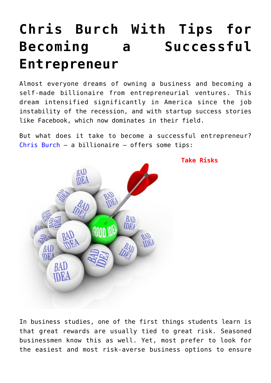# **[Chris Burch With Tips for](https://www.commpro.biz/chris-burch-with-tips-for-becoming-a-successful-entrepreneur/) [Becoming a Successful](https://www.commpro.biz/chris-burch-with-tips-for-becoming-a-successful-entrepreneur/) [Entrepreneur](https://www.commpro.biz/chris-burch-with-tips-for-becoming-a-successful-entrepreneur/)**

Almost everyone dreams of owning a business and becoming a self-made billionaire from entrepreneurial ventures. This dream intensified significantly in America since the job instability of the recession, and with startup success stories like Facebook, which now dominates in their field.

But what does it take to become a successful entrepreneur? [Chris Burch](https://www.nihiwatu.com/about/our-story/) – a billionaire – offers some tips:



**Take Risks**

In business studies, one of the first things students learn is that great rewards are usually tied to great risk. Seasoned businessmen know this as well. Yet, most prefer to look for the easiest and most risk-averse business options to ensure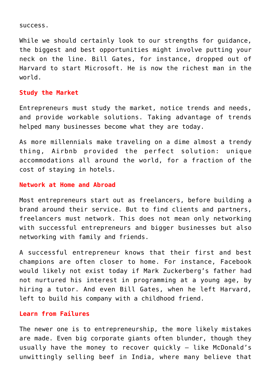#### success.

While we should certainly look to our strengths for guidance, the biggest and best opportunities might involve putting your neck on the line. Bill Gates, for instance, dropped out of Harvard to start Microsoft. He is now the richest man in the world.

# **Study the Market**

Entrepreneurs must study the market, notice trends and needs, and provide workable solutions. Taking advantage of trends helped many businesses become what they are today.

As more millennials make traveling on a dime almost a trendy thing, Airbnb provided the perfect solution: unique accommodations all around the world, for a fraction of the cost of staying in hotels.

### **Network at Home and Abroad**

Most entrepreneurs start out as freelancers, before building a brand around their service. But to find clients and partners, freelancers must network. This does not mean only networking with successful entrepreneurs and bigger businesses but also networking with family and friends.

A successful entrepreneur knows that their first and best champions are often closer to home. For instance, Facebook would likely not exist today if Mark Zuckerberg's father had not nurtured his interest in programming at a young age, by hiring a tutor. And even Bill Gates, when he left Harvard, left to build his company with a childhood friend.

## **Learn from Failures**

The newer one is to entrepreneurship, the more likely mistakes are made. Even big corporate giants often blunder, though they usually have the money to recover quickly – like McDonald's unwittingly selling beef in India, where many believe that